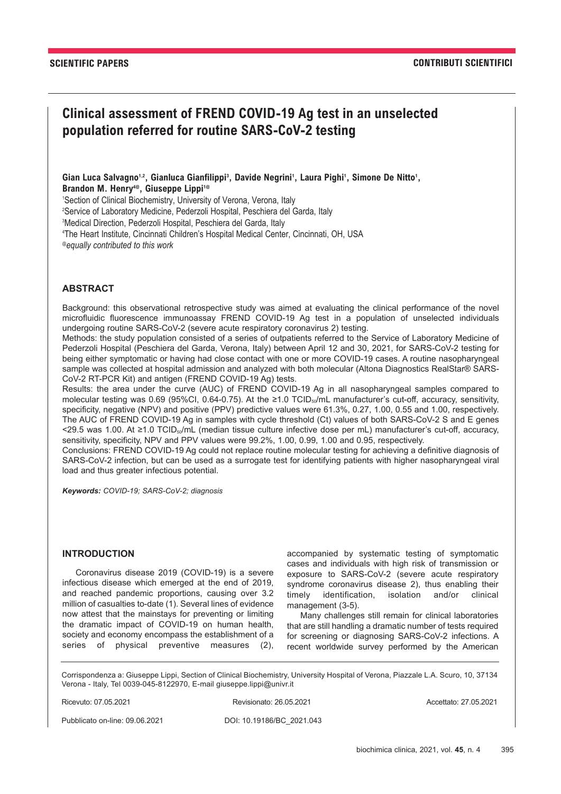# **Clinical assessment of FREND COVID-19 Ag test in an unselected population referred for routine SARS-CoV-2 testing**

Gian Luca Salvagno<sup>1,2</sup>, Gianluca Gianfilippi<sup>3</sup>, Davide Negrini<sup>1</sup>, Laura Pighi<sup>1</sup>, Simone De Nitto<sup>1</sup>, **Brandon M. Henry4@, Giuseppe Lippi1@**

1 Section of Clinical Biochemistry, University of Verona, Verona, Italy

2 Service of Laboratory Medicine, Pederzoli Hospital, Peschiera del Garda, Italy

3 Medical Direction, Pederzoli Hospital, Peschiera del Garda, Italy

4 The Heart Institute, Cincinnati Children's Hospital Medical Center, Cincinnati, OH, USA

*@equally contributed to this work*

## **ABSTRACT**

Background: this observational retrospective study was aimed at evaluating the clinical performance of the novel microfluidic fluorescence immunoassay FREND COVID-19 Ag test in a population of unselected individuals undergoing routine SARS-CoV-2 (severe acute respiratory coronavirus 2) testing.

Methods: the study population consisted of a series of outpatients referred to the Service of Laboratory Medicine of Pederzoli Hospital (Peschiera del Garda, Verona, Italy) between April 12 and 30, 2021, for SARS-CoV-2 testing for being either symptomatic or having had close contact with one or more COVID-19 cases. A routine nasopharyngeal sample was collected at hospital admission and analyzed with both molecular (Altona Diagnostics RealStar® SARS-CoV-2 RT-PCR Kit) and antigen (FREND COVID-19 Ag) tests.

Results: the area under the curve (AUC) of FREND COVID-19 Ag in all nasopharyngeal samples compared to molecular testing was 0.69 (95%CI, 0.64-0.75). At the ≥1.0 TCID<sub>50</sub>/mL manufacturer's cut-off, accuracy, sensitivity, specificity, negative (NPV) and positive (PPV) predictive values were 61.3%, 0.27, 1.00, 0.55 and 1.00, respectively. The AUC of FREND COVID-19 Ag in samples with cycle threshold (Ct) values of both SARS-CoV-2 S and E genes <29.5 was 1.00. At ≥1.0 TCID50/mL (median tissue culture infective dose per mL) manufacturer's cut-off, accuracy, sensitivity, specificity, NPV and PPV values were 99.2%, 1.00, 0.99, 1.00 and 0.95, respectively.

Conclusions: FREND COVID-19 Ag could not replace routine molecular testing for achieving a definitive diagnosis of SARS-CoV-2 infection, but can be used as a surrogate test for identifying patients with higher nasopharyngeal viral load and thus greater infectious potential.

*Keywords: COVID-19; SARS-CoV-2; diagnosis*

# **INTRODUCTION**

Coronavirus disease 2019 (COVID-19) is a severe infectious disease which emerged at the end of 2019, and reached pandemic proportions, causing over 3.2 million of casualties to-date (1). Several lines of evidence now attest that the mainstays for preventing or limiting the dramatic impact of COVID-19 on human health, society and economy encompass the establishment of a series of physical preventive measures (2), accompanied by systematic testing of symptomatic cases and individuals with high risk of transmission or exposure to SARS-CoV-2 (severe acute respiratory syndrome coronavirus disease 2), thus enabling their timely identification, isolation and/or clinical management (3-5).

Many challenges still remain for clinical laboratories that are still handling a dramatic number of tests required for screening or diagnosing SARS-CoV-2 infections. A recent worldwide survey performed by the American

Corrispondenza a: Giuseppe Lippi, Section of Clinical Biochemistry, University Hospital of Verona, Piazzale L.A. Scuro, 10, 37134 Verona - Italy, Tel 0039-045-8122970, E-mail giuseppe.lippi@univr.it

Ricevuto: 07.05.2021 Revisionato: 26.05.2021 Accettato: 27.05.2021

Pubblicato on-line: 09.06.2021 DOI: 10.19186/BC\_2021.043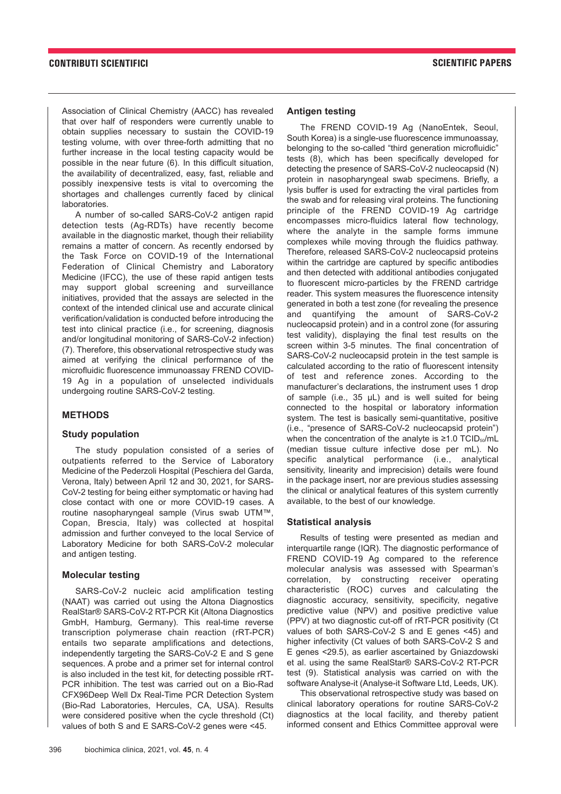Association of Clinical Chemistry (AACC) has revealed that over half of responders were currently unable to obtain supplies necessary to sustain the COVID-19 testing volume, with over three-forth admitting that no further increase in the local testing capacity would be possible in the near future (6). In this difficult situation, the availability of decentralized, easy, fast, reliable and possibly inexpensive tests is vital to overcoming the shortages and challenges currently faced by clinical laboratories.

A number of so-called SARS-CoV-2 antigen rapid detection tests (Ag-RDTs) have recently become available in the diagnostic market, though their reliability remains a matter of concern. As recently endorsed by the Task Force on COVID-19 of the International Federation of Clinical Chemistry and Laboratory Medicine (IFCC), the use of these rapid antigen tests may support global screening and surveillance initiatives, provided that the assays are selected in the context of the intended clinical use and accurate clinical verification/validation is conducted before introducing the test into clinical practice (i.e., for screening, diagnosis and/or longitudinal monitoring of SARS-CoV-2 infection) (7). Therefore, this observational retrospective study was aimed at verifying the clinical performance of the microfluidic fluorescence immunoassay FREND COVID-19 Ag in a population of unselected individuals undergoing routine SARS-CoV-2 testing.

#### **METHODS**

#### **Study population**

The study population consisted of a series of outpatients referred to the Service of Laboratory Medicine of the Pederzoli Hospital (Peschiera del Garda, Verona, Italy) between April 12 and 30, 2021, for SARS-CoV-2 testing for being either symptomatic or having had close contact with one or more COVID-19 cases. A routine nasopharyngeal sample (Virus swab UTM™, Copan, Brescia, Italy) was collected at hospital admission and further conveyed to the local Service of Laboratory Medicine for both SARS-CoV-2 molecular and antigen testing.

#### **Molecular testing**

SARS-CoV-2 nucleic acid amplification testing (NAAT) was carried out using the Altona Diagnostics RealStar® SARS-CoV-2 RT-PCR Kit (Altona Diagnostics GmbH, Hamburg, Germany). This real-time reverse transcription polymerase chain reaction (rRT-PCR) entails two separate amplifications and detections, independently targeting the SARS-CoV-2 E and S gene sequences. A probe and a primer set for internal control is also included in the test kit, for detecting possible rRT-PCR inhibition. The test was carried out on a Bio-Rad CFX96Deep Well Dx Real-Time PCR Detection System (Bio-Rad Laboratories, Hercules, CA, USA). Results were considered positive when the cycle threshold (Ct) values of both S and E SARS-CoV-2 genes were <45.

## **Antigen testing**

The FREND COVID-19 Ag (NanoEntek, Seoul, South Korea) is a single-use fluorescence immunoassay, belonging to the so-called "third generation microfluidic" tests (8), which has been specifically developed for detecting the presence of SARS-CoV-2 nucleocapsid (N) protein in nasopharyngeal swab specimens. Briefly, a lysis buffer is used for extracting the viral particles from the swab and for releasing viral proteins. The functioning principle of the FREND COVID-19 Ag cartridge encompasses micro-fluidics lateral flow technology, where the analyte in the sample forms immune complexes while moving through the fluidics pathway. Therefore, released SARS-CoV-2 nucleocapsid proteins within the cartridge are captured by specific antibodies and then detected with additional antibodies conjugated to fluorescent micro-particles by the FREND cartridge reader. This system measures the fluorescence intensity generated in both a test zone (for revealing the presence and quantifying the amount of SARS-CoV-2 nucleocapsid protein) and in a control zone (for assuring test validity), displaying the final test results on the screen within 3-5 minutes. The final concentration of SARS-CoV-2 nucleocapsid protein in the test sample is calculated according to the ratio of fluorescent intensity of test and reference zones. According to the manufacturer's declarations, the instrument uses 1 drop of sample (i.e., 35 μL) and is well suited for being connected to the hospital or laboratory information system. The test is basically semi-quantitative, positive (i.e., "presence of SARS-CoV-2 nucleocapsid protein") when the concentration of the analyte is  $\geq 1.0$  TCID<sub>50</sub>/mL (median tissue culture infective dose per mL). No specific analytical performance (i.e., analytical sensitivity, linearity and imprecision) details were found in the package insert, nor are previous studies assessing the clinical or analytical features of this system currently available, to the best of our knowledge.

#### **Statistical analysis**

Results of testing were presented as median and interquartile range (IQR). The diagnostic performance of FREND COVID-19 Ag compared to the reference molecular analysis was assessed with Spearman's correlation, by constructing receiver operating characteristic (ROC) curves and calculating the diagnostic accuracy, sensitivity, specificity, negative predictive value (NPV) and positive predictive value (PPV) at two diagnostic cut-off of rRT-PCR positivity (Ct values of both SARS-CoV-2 S and E genes <45) and higher infectivity (Ct values of both SARS-CoV-2 S and E genes <29.5), as earlier ascertained by Gniazdowski et al. using the same RealStar® SARS-CoV-2 RT-PCR test (9). Statistical analysis was carried on with the software Analyse-it (Analyse-it Software Ltd, Leeds, UK).

This observational retrospective study was based on clinical laboratory operations for routine SARS-CoV-2 diagnostics at the local facility, and thereby patient informed consent and Ethics Committee approval were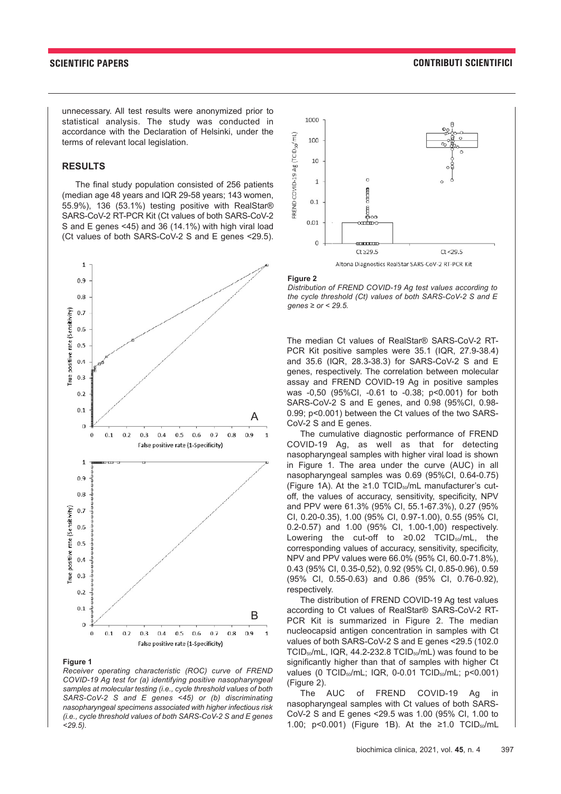unnecessary. All test results were anonymized prior to statistical analysis. The study was conducted in accordance with the Declaration of Helsinki, under the terms of relevant local legislation.

#### **RESULTS**

The final study population consisted of 256 patients (median age 48 years and IQR 29-58 years; 143 women, 55.9%), 136 (53.1%) testing positive with RealStar® SARS-CoV-2 RT-PCR Kit (Ct values of both SARS-CoV-2 S and E genes <45) and 36 (14.1%) with high viral load (Ct values of both SARS-CoV-2 S and E genes <29.5).



#### **Figure 1**

*Receiver operating characteristic (ROC) curve of FREND COVID-19 Ag test for (a) identifying positive nasopharyngeal samples at molecular testing (i.e., cycle threshold values of both SARS-CoV-2 S and E genes <45) or (b) discriminating nasopharyngeal specimens associated with higher infectious risk (i.e., cycle threshold values of both SARS-CoV-2 S and E genes <29.5).*



#### **Figure 2**

*Distribution of FREND COVID-19 Ag test values according to the cycle threshold (Ct) values of both SARS-CoV-2 S and E genes ≥ or < 29.5.*

The median Ct values of RealStar® SARS-CoV-2 RT-PCR Kit positive samples were 35.1 (IQR, 27.9-38.4) and 35.6 (IQR, 28.3-38.3) for SARS-CoV-2 S and E genes, respectively. The correlation between molecular assay and FREND COVID-19 Ag in positive samples was -0,50 (95%CI, -0.61 to -0.38; p<0.001) for both SARS-CoV-2 S and E genes, and 0.98 (95%CI, 0.98- 0.99; p<0.001) between the Ct values of the two SARS-CoV-2 S and E genes.

The cumulative diagnostic performance of FREND COVID-19 Ag, as well as that for detecting nasopharyngeal samples with higher viral load is shown in Figure 1. The area under the curve (AUC) in all nasopharyngeal samples was 0.69 (95%CI, 0.64-0.75) (Figure 1A). At the  $\geq$ 1.0 TCID<sub>50</sub>/mL manufacturer's cutoff, the values of accuracy, sensitivity, specificity, NPV and PPV were 61.3% (95% CI, 55.1-67.3%), 0.27 (95% CI, 0.20-0.35), 1.00 (95% CI, 0.97-1.00), 0.55 (95% CI, 0.2-0.57) and 1.00 (95% CI, 1.00-1,00) respectively. Lowering the cut-off to  $\geq 0.02$  TCID<sub>50</sub>/mL, the corresponding values of accuracy, sensitivity, specificity, NPV and PPV values were 66.0% (95% CI, 60.0-71.8%), 0.43 (95% CI, 0.35-0,52), 0.92 (95% CI, 0.85-0.96), 0.59 (95% CI, 0.55-0.63) and 0.86 (95% CI, 0.76-0.92), respectively.

The distribution of FREND COVID-19 Ag test values according to Ct values of RealStar® SARS-CoV-2 RT-PCR Kit is summarized in Figure 2. The median nucleocapsid antigen concentration in samples with Ct values of both SARS-CoV-2 S and E genes <29.5 (102.0 TCID<sub>50</sub>/mL, IQR, 44.2-232.8 TCID<sub>50</sub>/mL) was found to be significantly higher than that of samples with higher Ct values (0 TCID<sub>50</sub>/mL; IQR, 0-0.01 TCID<sub>50</sub>/mL; p<0.001) (Figure 2).

The AUC of FREND COVID-19 Ag in nasopharyngeal samples with Ct values of both SARS-CoV-2 S and E genes <29.5 was 1.00 (95% CI, 1.00 to 1.00; p<0.001) (Figure 1B). At the ≥1.0 TCID<sub>50</sub>/mL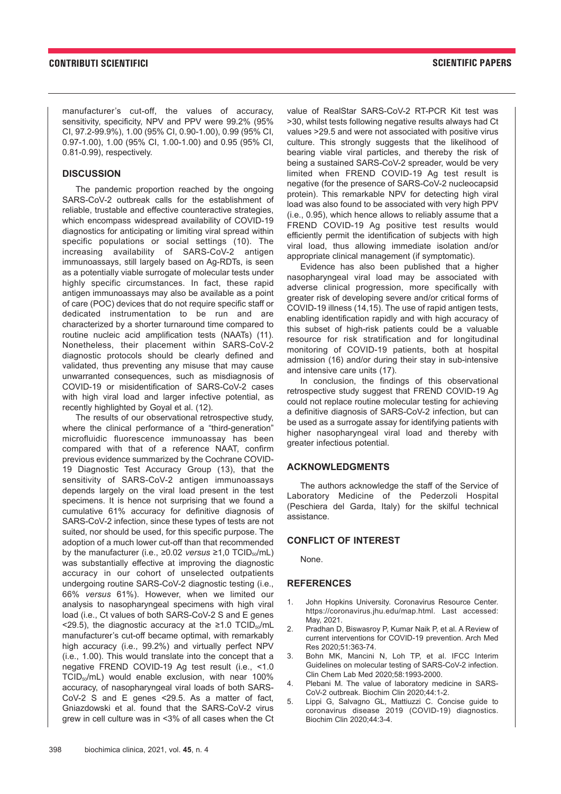manufacturer's cut-off, the values of accuracy, sensitivity, specificity, NPV and PPV were 99.2% (95% CI, 97.2-99.9%), 1.00 (95% CI, 0.90-1.00), 0.99 (95% CI, 0.97-1.00), 1.00 (95% CI, 1.00-1.00) and 0.95 (95% CI, 0.81-0.99), respectively.

#### **DISCUSSION**

The pandemic proportion reached by the ongoing SARS-CoV-2 outbreak calls for the establishment of reliable, trustable and effective counteractive strategies, which encompass widespread availability of COVID-19 diagnostics for anticipating or limiting viral spread within specific populations or social settings (10). The increasing availability of SARS-CoV-2 antigen immunoassays, still largely based on Ag-RDTs, is seen as a potentially viable surrogate of molecular tests under highly specific circumstances. In fact, these rapid antigen immunoassays may also be available as a point of care (POC) devices that do not require specific staff or dedicated instrumentation to be run and are characterized by a shorter turnaround time compared to routine nucleic acid amplification tests (NAATs) (11). Nonetheless, their placement within SARS-CoV-2 diagnostic protocols should be clearly defined and validated, thus preventing any misuse that may cause unwarranted consequences, such as misdiagnosis of COVID-19 or misidentification of SARS-CoV-2 cases with high viral load and larger infective potential, as recently highlighted by Goyal et al. (12).

The results of our observational retrospective study, where the clinical performance of a "third-generation" microfluidic fluorescence immunoassay has been compared with that of a reference NAAT, confirm previous evidence summarized by the Cochrane COVID-19 Diagnostic Test Accuracy Group (13), that the sensitivity of SARS-CoV-2 antigen immunoassays depends largely on the viral load present in the test specimens. It is hence not surprising that we found a cumulative 61% accuracy for definitive diagnosis of SARS-CoV-2 infection, since these types of tests are not suited, nor should be used, for this specific purpose. The adoption of a much lower cut-off than that recommended by the manufacturer (i.e.,  $\geq$ 0.02 *versus*  $\geq$ 1.0 TCID<sub>50</sub>/mL) was substantially effective at improving the diagnostic accuracy in our cohort of unselected outpatients undergoing routine SARS-CoV-2 diagnostic testing (i.e., 66% *versus* 61%). However, when we limited our analysis to nasopharyngeal specimens with high viral load (i.e., Ct values of both SARS-CoV-2 S and E genes <29.5), the diagnostic accuracy at the ≥1.0 TCID $_{50}$ /mL manufacturer's cut-off became optimal, with remarkably high accuracy (i.e., 99.2%) and virtually perfect NPV (i.e., 1.00). This would translate into the concept that a negative FREND COVID-19 Ag test result (i.e., <1.0  $TCID<sub>50</sub>/mL$ ) would enable exclusion, with near 100% accuracy, of nasopharyngeal viral loads of both SARS-CoV-2 S and E genes <29.5. As a matter of fact, Gniazdowski et al. found that the SARS-CoV-2 virus grew in cell culture was in <3% of all cases when the Ct

value of RealStar SARS-CoV-2 RT-PCR Kit test was >30, whilst tests following negative results always had Ct values >29.5 and were not associated with positive virus culture. This strongly suggests that the likelihood of bearing viable viral particles, and thereby the risk of being a sustained SARS-CoV-2 spreader, would be very limited when FREND COVID-19 Ag test result is negative (for the presence of SARS-CoV-2 nucleocapsid protein). This remarkable NPV for detecting high viral load was also found to be associated with very high PPV (i.e., 0.95), which hence allows to reliably assume that a FREND COVID-19 Ag positive test results would efficiently permit the identification of subjects with high viral load, thus allowing immediate isolation and/or appropriate clinical management (if symptomatic).

Evidence has also been published that a higher nasopharyngeal viral load may be associated with adverse clinical progression, more specifically with greater risk of developing severe and/or critical forms of COVID-19 illness (14,15). The use of rapid antigen tests, enabling identification rapidly and with high accuracy of this subset of high-risk patients could be a valuable resource for risk stratification and for longitudinal monitoring of COVID-19 patients, both at hospital admission (16) and/or during their stay in sub-intensive and intensive care units (17).

In conclusion, the findings of this observational retrospective study suggest that FREND COVID-19 Ag could not replace routine molecular testing for achieving a definitive diagnosis of SARS-CoV-2 infection, but can be used as a surrogate assay for identifying patients with higher nasopharyngeal viral load and thereby with greater infectious potential.

#### **ACKNOWLEDGMENTS**

The authors acknowledge the staff of the Service of Laboratory Medicine of the Pederzoli Hospital (Peschiera del Garda, Italy) for the skilful technical assistance.

### **CONFLICT OF INTEREST**

None.

#### **REFERENCES**

- 1. John Hopkins University. Coronavirus Resource Center. https://coronavirus.jhu.edu/map.html. Last accessed: May, 2021.
- 2. Pradhan D, Biswasroy P, Kumar Naik P, et al. A Review of current interventions for COVID-19 prevention. Arch Med Res 2020;51:363-74.
- 3. Bohn MK, Mancini N, Loh TP, et al. IFCC Interim Guidelines on molecular testing of SARS-CoV-2 infection. Clin Chem Lab Med 2020;58:1993-2000.
- 4. Plebani M. The value of laboratory medicine in SARS-CoV-2 outbreak. Biochim Clin 2020;44:1-2.
- 5. Lippi G, Salvagno GL, Mattiuzzi C. Concise guide to coronavirus disease 2019 (COVID-19) diagnostics. Biochim Clin 2020;44:3-4.